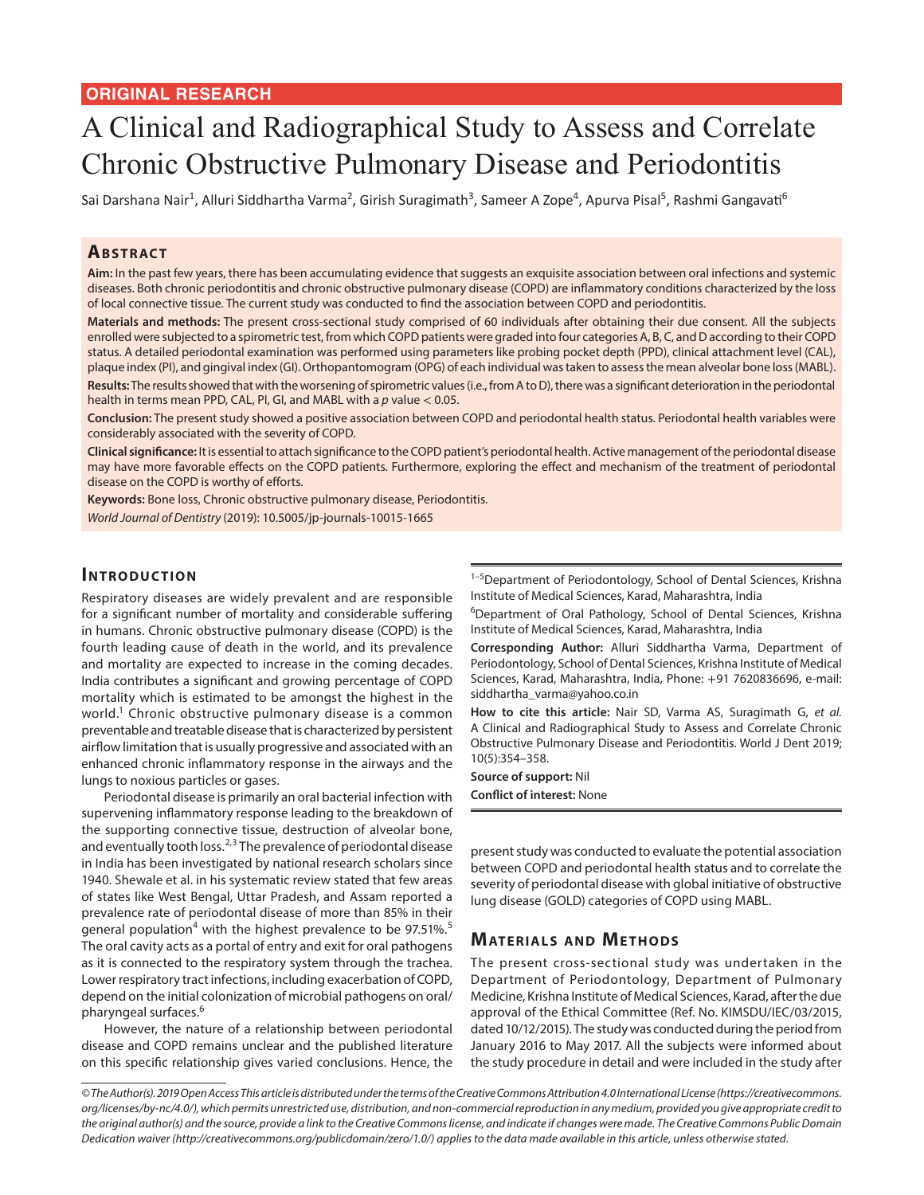# A Clinical and Radiographical Study to Assess and Correlate Chronic Obstructive Pulmonary Disease and Periodontitis

Sai Darshana Nair<sup>1</sup>, Alluri Siddhartha Varma<sup>2</sup>, Girish Suragimath<sup>3</sup>, Sameer A Zope<sup>4</sup>, Apurva Pisal<sup>5</sup>, Rashmi Gangavati<sup>6</sup>

## **ABSTRACT**

**Aim:** In the past few years, there has been accumulating evidence that suggests an exquisite association between oral infections and systemic diseases. Both chronic periodontitis and chronic obstructive pulmonary disease (COPD) are inflammatory conditions characterized by the loss of local connective tissue. The current study was conducted to find the association between COPD and periodontitis.

**Materials and methods:** The present cross-sectional study comprised of 60 individuals after obtaining their due consent. All the subjects enrolled were subjected to a spirometric test, from which COPD patients were graded into four categories A, B, C, and D according to their COPD status. A detailed periodontal examination was performed using parameters like probing pocket depth (PPD), clinical attachment level (CAL), plaque index (PI), and gingival index (GI). Orthopantomogram (OPG) of each individual was taken to assess the mean alveolar bone loss (MABL). **Results:** The results showed that with the worsening of spirometric values (i.e., from A to D), there was a significant deterioration in the periodontal health in terms mean PPD, CAL, PI, GI, and MABL with a *p* value < 0.05.

**Conclusion:** The present study showed a positive association between COPD and periodontal health status. Periodontal health variables were considerably associated with the severity of COPD.

**Clinical significance:** It is essential to attach significance to the COPD patient's periodontal health. Active management of the periodontal disease may have more favorable effects on the COPD patients. Furthermore, exploring the effect and mechanism of the treatment of periodontal disease on the COPD is worthy of efforts.

**Keywords:** Bone loss, Chronic obstructive pulmonary disease, Periodontitis.

*World Journal of Dentistry* (2019): 10.5005/jp-journals-10015-1665

## **INTRODUCTION**

Respiratory diseases are widely prevalent and are responsible for a significant number of mortality and considerable suffering in humans. Chronic obstructive pulmonary disease (COPD) is the fourth leading cause of death in the world, and its prevalence and mortality are expected to increase in the coming decades. India contributes a significant and growing percentage of COPD mortality which is estimated to be amongst the highest in the world.<sup>1</sup> Chronic obstructive pulmonary disease is a common preventable and treatable disease that is characterized by persistent airflow limitation that is usually progressive and associated with an enhanced chronic inflammatory response in the airways and the lungs to noxious particles or gases.

Periodontal disease is primarily an oral bacterial infection with supervening inflammatory response leading to the breakdown of the supporting connective tissue, destruction of alveolar bone, and eventually tooth loss. $2,3$  The prevalence of periodontal disease in India has been investigated by national research scholars since 1940. Shewale et al. in his systematic review stated that few areas of states like West Bengal, Uttar Pradesh, and Assam reported a prevalence rate of periodontal disease of more than 85% in their general population<sup>4</sup> with the highest prevalence to be 97.51%.<sup>5</sup> The oral cavity acts as a portal of entry and exit for oral pathogens as it is connected to the respiratory system through the trachea. Lower respiratory tract infections, including exacerbation of COPD, depend on the initial colonization of microbial pathogens on oral/ pharyngeal surfaces.<sup>6</sup>

However, the nature of a relationship between periodontal disease and COPD remains unclear and the published literature on this specific relationship gives varied conclusions. Hence, the

<sup>1-5</sup>Department of Periodontology, School of Dental Sciences, Krishna Institute of Medical Sciences, Karad, Maharashtra, India

<sup>6</sup>Department of Oral Pathology, School of Dental Sciences, Krishna Institute of Medical Sciences, Karad, Maharashtra, India

**Corresponding Author:** Alluri Siddhartha Varma, Department of Periodontology, School of Dental Sciences, Krishna Institute of Medical Sciences, Karad, Maharashtra, India, Phone: +91 7620836696, e-mail: siddhartha\_varma@yahoo.co.in

**How to cite this article:** Nair SD, Varma AS, Suragimath G, *et al.* A Clinical and Radiographical Study to Assess and Correlate Chronic Obstructive Pulmonary Disease and Periodontitis. World J Dent 2019; 10(5):354–358.

**Source of support:** Nil **Conflict of interest:** None

present study was conducted to evaluate the potential association between COPD and periodontal health status and to correlate the severity of periodontal disease with global initiative of obstructive lung disease (GOLD) categories of COPD using MABL.

# **MATERIALS AND METHODS**

The present cross-sectional study was undertaken in the Department of Periodontology, Department of Pulmonary Medicine, Krishna Institute of Medical Sciences, Karad, after the due approval of the Ethical Committee (Ref. No. KIMSDU/IEC/03/2015, dated 10/12/2015). The study was conducted during the period from January 2016 to May 2017. All the subjects were informed about the study procedure in detail and were included in the study after

*<sup>©</sup> The Author(s). 2019 Open Access This article is distributed under the terms of the Creative Commons Attribution 4.0 International License (https://creativecommons. org/licenses/by-nc/4.0/), which permits unrestricted use, distribution, and non-commercial reproduction in any medium, provided you give appropriate credit to the original author(s) and the source, provide a link to the Creative Commons license, and indicate if changes were made. The Creative Commons Public Domain Dedication waiver (http://creativecommons.org/publicdomain/zero/1.0/) applies to the data made available in this article, unless otherwise stated.*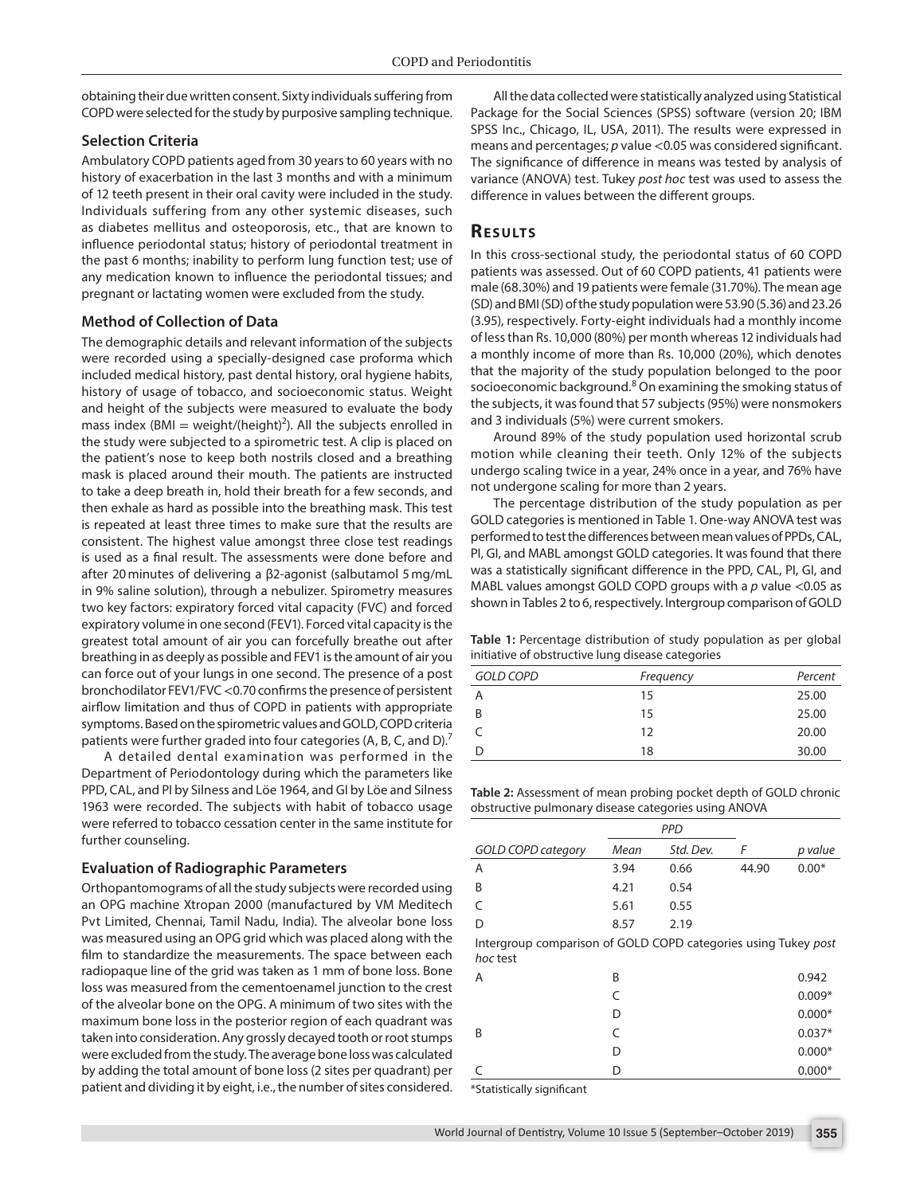obtaining their due written consent. Sixty individuals suffering from COPD were selected for the study by purposive sampling technique.

## **Selection Criteria**

Ambulatory COPD patients aged from 30 years to 60 years with no history of exacerbation in the last 3 months and with a minimum of 12 teeth present in their oral cavity were included in the study. Individuals suffering from any other systemic diseases, such as diabetes mellitus and osteoporosis, etc., that are known to influence periodontal status; history of periodontal treatment in the past 6 months; inability to perform lung function test; use of any medication known to influence the periodontal tissues; and pregnant or lactating women were excluded from the study.

#### **Method of Collection of Data**

The demographic details and relevant information of the subjects were recorded using a specially-designed case proforma which included medical history, past dental history, oral hygiene habits, history of usage of tobacco, and socioeconomic status. Weight and height of the subjects were measured to evaluate the body mass index  $(BMI = weight/(height)^2)$ . All the subjects enrolled in the study were subjected to a spirometric test. A clip is placed on the patient's nose to keep both nostrils closed and a breathing mask is placed around their mouth. The patients are instructed to take a deep breath in, hold their breath for a few seconds, and then exhale as hard as possible into the breathing mask. This test is repeated at least three times to make sure that the results are consistent. The highest value amongst three close test readings is used as a final result. The assessments were done before and after 20minutes of delivering a β2-agonist (salbutamol 5mg/mL in 9% saline solution), through a nebulizer. Spirometry measures two key factors: expiratory forced vital capacity (FVC) and forced expiratory volume in one second (FEV1). Forced vital capacity is the greatest total amount of air you can forcefully breathe out after breathing in as deeply as possible and FEV1 is the amount of air you can force out of your lungs in one second. The presence of a post bronchodilator FEV1/FVC <0.70 confirms the presence of persistent airflow limitation and thus of COPD in patients with appropriate symptoms. Based on the spirometric values and GOLD, COPD criteria patients were further graded into four categories (A, B, C, and D).<sup>7</sup>

A detailed dental examination was performed in the Department of Periodontology during which the parameters like PPD, CAL, and PI by Silness and Löe 1964, and GI by Löe and Silness 1963 were recorded. The subjects with habit of tobacco usage were referred to tobacco cessation center in the same institute for further counseling.

#### **Evaluation of Radiographic Parameters**

Orthopantomograms of all the study subjects were recorded using an OPG machine Xtropan 2000 (manufactured by VM Meditech Pvt Limited, Chennai, Tamil Nadu, India). The alveolar bone loss was measured using an OPG grid which was placed along with the film to standardize the measurements. The space between each radiopaque line of the grid was taken as 1 mm of bone loss. Bone loss was measured from the cementoenamel junction to the crest of the alveolar bone on the OPG. A minimum of two sites with the maximum bone loss in the posterior region of each quadrant was taken into consideration. Any grossly decayed tooth or root stumps were excluded from the study. The average bone loss was calculated by adding the total amount of bone loss (2 sites per quadrant) per patient and dividing it by eight, i.e., the number of sites considered.

All the data collected were statistically analyzed using Statistical Package for the Social Sciences (SPSS) software (version 20; IBM SPSS Inc., Chicago, IL, USA, 2011). The results were expressed in means and percentages; *p* value <0.05 was considered significant. The significance of difference in means was tested by analysis of variance (ANOVA) test. Tukey *post hoc* test was used to assess the difference in values between the different groups.

# **RESULTS**

In this cross-sectional study, the periodontal status of 60 COPD patients was assessed. Out of 60 COPD patients, 41 patients were male (68.30%) and 19 patients were female (31.70%). The mean age (SD) and BMI (SD) of the study population were 53.90 (5.36) and 23.26 (3.95), respectively. Forty-eight individuals had a monthly income of less than Rs. 10,000 (80%) per month whereas 12 individuals had a monthly income of more than Rs. 10,000 (20%), which denotes that the majority of the study population belonged to the poor socioeconomic background.<sup>8</sup> On examining the smoking status of the subjects, it was found that 57 subjects (95%) were nonsmokers and 3 individuals (5%) were current smokers.

Around 89% of the study population used horizontal scrub motion while cleaning their teeth. Only 12% of the subjects undergo scaling twice in a year, 24% once in a year, and 76% have not undergone scaling for more than 2 years.

The percentage distribution of the study population as per GOLD categories is mentioned in Table 1. One-way ANOVA test was performed to test the differences between mean values of PPDs, CAL, PI, GI, and MABL amongst GOLD categories. It was found that there was a statistically significant difference in the PPD, CAL, PI, GI, and MABL values amongst GOLD COPD groups with a *p* value <0.05 as shown in Tables 2 to 6, respectively. Intergroup comparison of GOLD

**Table 1:** Percentage distribution of study population as per global initiative of obstructive lung disease categories

| <b>GOLD COPD</b> | Frequency | Percent |
|------------------|-----------|---------|
| Α                | 15        | 25.00   |
| B                | 15        | 25.00   |
|                  | 12        | 20.00   |
| D                | 18        | 30.00   |

**Table 2:** Assessment of mean probing pocket depth of GOLD chronic obstructive pulmonary disease categories using ANOVA

|                           | <b>PPD</b> |           |       |         |
|---------------------------|------------|-----------|-------|---------|
| <b>GOLD COPD category</b> | Mean       | Std. Dev. |       | p value |
| Α                         | 3.94       | 0.66      | 44.90 | $0.00*$ |
| B                         | 4.21       | 0.54      |       |         |
|                           | 5.61       | 0.55      |       |         |
| D                         | 8.57       | 2.19      |       |         |

Intergroup comparison of GOLD COPD categories using Tukey *post hoc* test

| A | B | 0.942    |
|---|---|----------|
|   | C | $0.009*$ |
|   | D | $0.000*$ |
| B | C | $0.037*$ |
|   | D | $0.000*$ |
| C | D | $0.000*$ |
|   |   |          |

\*Statistically significant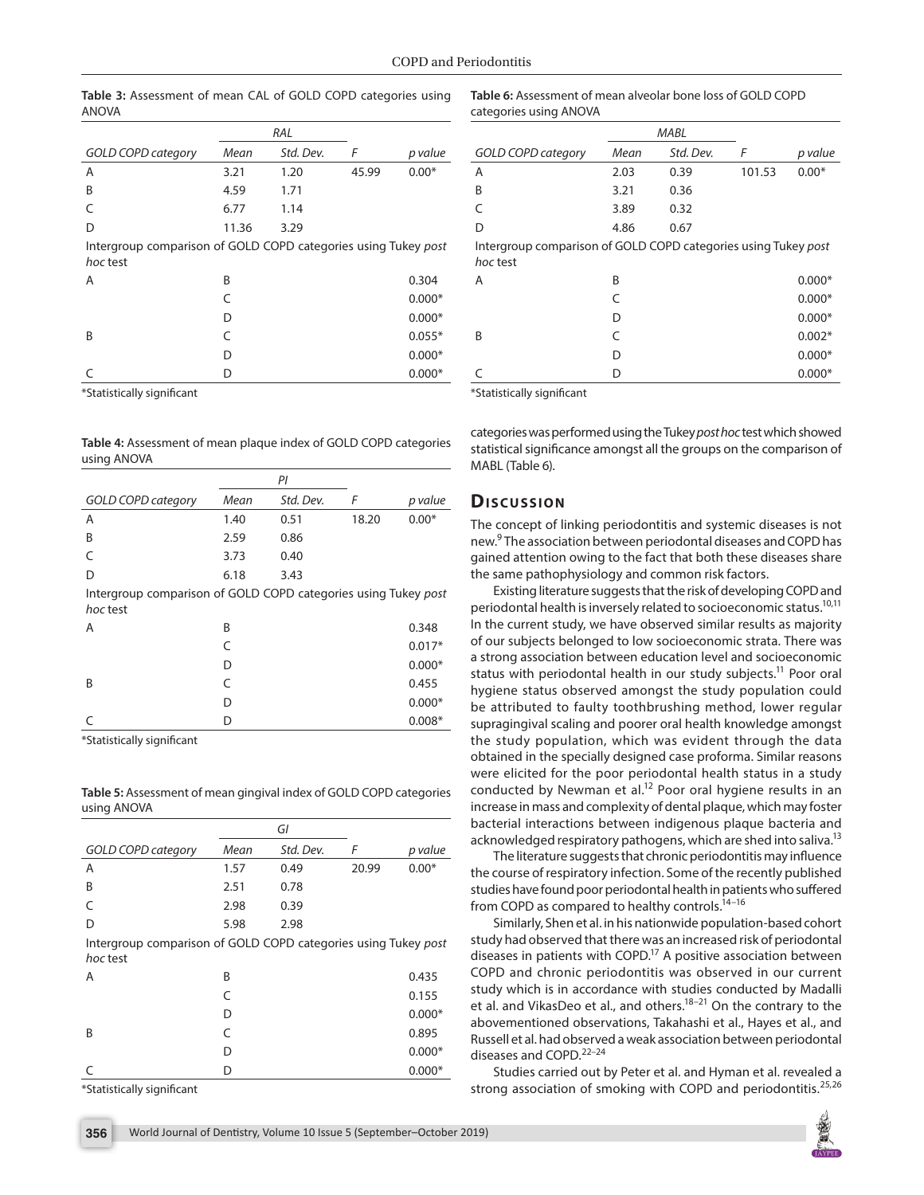|                                                                            | RAL   |           |       |          |
|----------------------------------------------------------------------------|-------|-----------|-------|----------|
| <b>GOLD COPD category</b>                                                  | Mean  | Std. Dev. | F     | p value  |
| A                                                                          | 3.21  | 1.20      | 45.99 | $0.00*$  |
| B                                                                          | 4.59  | 1.71      |       |          |
| $\subset$                                                                  | 6.77  | 1.14      |       |          |
| D                                                                          | 11.36 | 3.29      |       |          |
| Intergroup comparison of GOLD COPD categories using Tukey post<br>hoc test |       |           |       |          |
| A                                                                          | B     |           |       | 0.304    |
|                                                                            | C     |           |       | $0.000*$ |
|                                                                            | D     |           |       | $0.000*$ |
| B                                                                          | C     |           |       | $0.055*$ |
|                                                                            | D     |           |       | $0.000*$ |
|                                                                            | D     |           |       | $0.000*$ |

**Table 3:** Assessment of mean CAL of GOLD COPD categories using ANOVA

\*Statistically significant

**Table 4:** Assessment of mean plaque index of GOLD COPD categories using ANOVA

|                                                                            | PI   |           |       |          |
|----------------------------------------------------------------------------|------|-----------|-------|----------|
| <b>GOLD COPD category</b>                                                  | Mean | Std. Dev. | F     | p value  |
| A                                                                          | 1.40 | 0.51      | 18.20 | $0.00*$  |
| B                                                                          | 2.59 | 0.86      |       |          |
|                                                                            | 3.73 | 0.40      |       |          |
| D                                                                          | 6.18 | 3.43      |       |          |
| Intergroup comparison of GOLD COPD categories using Tukey post<br>hoc test |      |           |       |          |
| A                                                                          | R    |           |       | 0.348    |
|                                                                            |      |           |       | $0.017*$ |
|                                                                            | D    |           |       | $0.000*$ |
| B                                                                          |      |           |       | 0.455    |

\*Statistically significant

**Table 5:** Assessment of mean gingival index of GOLD COPD categories using ANOVA

 $C$  D 0.008\*

 $D = 0.000*$ 

|                                                                | GI   |           |       |          |
|----------------------------------------------------------------|------|-----------|-------|----------|
| <b>GOLD COPD category</b>                                      | Mean | Std. Dev. | F     | p value  |
| A                                                              | 1.57 | 0.49      | 20.99 | $0.00*$  |
| B                                                              | 2.51 | 0.78      |       |          |
| $\subset$                                                      | 2.98 | 0.39      |       |          |
| D                                                              | 5.98 | 2.98      |       |          |
| Intergroup comparison of GOLD COPD categories using Tukey post |      |           |       |          |
| hoc test                                                       |      |           |       |          |
| A                                                              | B    |           |       | 0.435    |
|                                                                | C    |           |       | 0.155    |
|                                                                | D    |           |       | $0.000*$ |
| B                                                              | C    |           |       | 0.895    |
|                                                                | D    |           |       | $0.000*$ |
|                                                                | n    |           |       | $0.000*$ |

\*Statistically significant

**Table 6:** Assessment of mean alveolar bone loss of GOLD COPD categories using ANOVA

|                                                                            | <b>MABL</b> |           |        |          |  |
|----------------------------------------------------------------------------|-------------|-----------|--------|----------|--|
| <b>GOLD COPD category</b>                                                  | Mean        | Std. Dev. | F      | p value  |  |
| A                                                                          | 2.03        | 0.39      | 101.53 | $0.00*$  |  |
| B                                                                          | 3.21        | 0.36      |        |          |  |
| $\subset$                                                                  | 3.89        | 0.32      |        |          |  |
| D                                                                          | 4.86        | 0.67      |        |          |  |
| Intergroup comparison of GOLD COPD categories using Tukey post<br>hoc test |             |           |        |          |  |
| A                                                                          | B           |           |        | $0.000*$ |  |
|                                                                            | C           |           |        | $0.000*$ |  |
|                                                                            | D           |           |        | $0.000*$ |  |
| B                                                                          | C           |           |        | $0.002*$ |  |
|                                                                            | D           |           |        | $0.000*$ |  |
|                                                                            | D           |           |        | $0.000*$ |  |

\*Statistically significant

categories was performed using the Tukey *post hoc* test which showed statistical significance amongst all the groups on the comparison of MABL (Table 6).

## **Discussion**

The concept of linking periodontitis and systemic diseases is not new.<sup>9</sup> The association between periodontal diseases and COPD has gained attention owing to the fact that both these diseases share the same pathophysiology and common risk factors.

Existing literature suggests that the risk of developing COPD and periodontal health is inversely related to socioeconomic status.<sup>10,11</sup> In the current study, we have observed similar results as majority of our subjects belonged to low socioeconomic strata. There was a strong association between education level and socioeconomic status with periodontal health in our study subjects.<sup>11</sup> Poor oral hygiene status observed amongst the study population could be attributed to faulty toothbrushing method, lower regular supragingival scaling and poorer oral health knowledge amongst the study population, which was evident through the data obtained in the specially designed case proforma. Similar reasons were elicited for the poor periodontal health status in a study conducted by Newman et al.<sup>12</sup> Poor oral hygiene results in an increase in mass and complexity of dental plaque, which may foster bacterial interactions between indigenous plaque bacteria and acknowledged respiratory pathogens, which are shed into saliva.<sup>13</sup>

The literature suggests that chronic periodontitis may influence the course of respiratory infection. Some of the recently published studies have found poor periodontal health in patients who suffered from COPD as compared to healthy controls.<sup>14-16</sup>

Similarly, Shen et al. in his nationwide population-based cohort study had observed that there was an increased risk of periodontal diseases in patients with COPD.<sup>17</sup> A positive association between COPD and chronic periodontitis was observed in our current study which is in accordance with studies conducted by Madalli et al. and VikasDeo et al., and others.<sup>18-21</sup> On the contrary to the abovementioned observations, Takahashi et al., Hayes et al., and Russell et al. had observed a weak association between periodontal diseases and COPD.<sup>22-24</sup>

Studies carried out by Peter et al. and Hyman et al. revealed a strong association of smoking with COPD and periodontitis.<sup>25,26</sup>

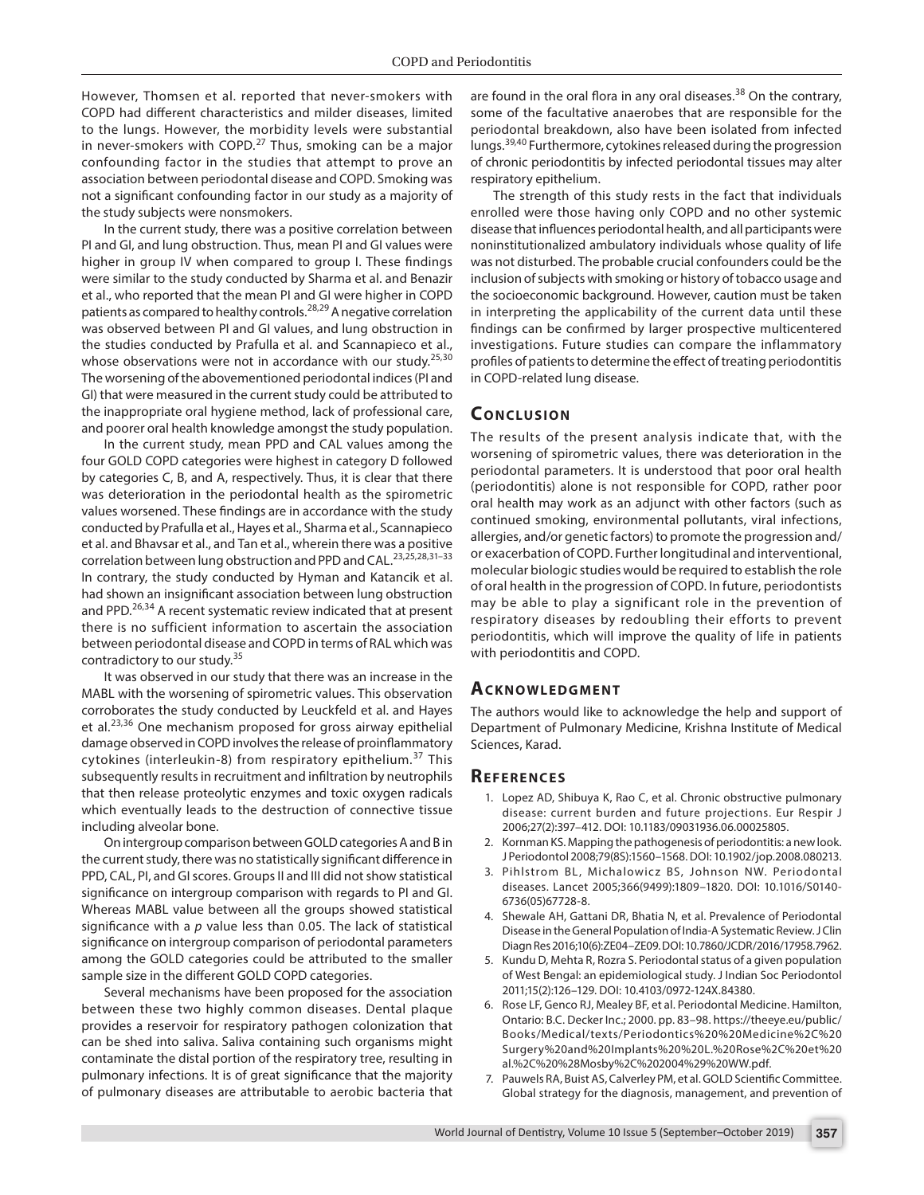However, Thomsen et al. reported that never-smokers with COPD had different characteristics and milder diseases, limited to the lungs. However, the morbidity levels were substantial in never-smokers with COPD.<sup>27</sup> Thus, smoking can be a major confounding factor in the studies that attempt to prove an association between periodontal disease and COPD. Smoking was not a significant confounding factor in our study as a majority of the study subjects were nonsmokers.

In the current study, there was a positive correlation between PI and GI, and lung obstruction. Thus, mean PI and GI values were higher in group IV when compared to group I. These findings were similar to the study conducted by Sharma et al. and Benazir et al., who reported that the mean PI and GI were higher in COPD patients as compared to healthy controls.<sup>28,29</sup> A negative correlation was observed between PI and GI values, and lung obstruction in the studies conducted by Prafulla et al. and Scannapieco et al., whose observations were not in accordance with our study.<sup>25,30</sup> The worsening of the abovementioned periodontal indices (PI and GI) that were measured in the current study could be attributed to the inappropriate oral hygiene method, lack of professional care, and poorer oral health knowledge amongst the study population.

In the current study, mean PPD and CAL values among the four GOLD COPD categories were highest in category D followed by categories C, B, and A, respectively. Thus, it is clear that there was deterioration in the periodontal health as the spirometric values worsened. These findings are in accordance with the study conducted by Prafulla et al., Hayes et al., Sharma et al., Scannapieco et al. and Bhavsar et al., and Tan et al., wherein there was a positive correlation between lung obstruction and PPD and CAL.23,25,28,31–33 In contrary, the study conducted by Hyman and Katancik et al. had shown an insignificant association between lung obstruction and PPD.<sup>26,34</sup> A recent systematic review indicated that at present there is no sufficient information to ascertain the association between periodontal disease and COPD in terms of RAL which was contradictory to our study.<sup>35</sup>

It was observed in our study that there was an increase in the MABL with the worsening of spirometric values. This observation corroborates the study conducted by Leuckfeld et al. and Hayes et al.<sup>23,36</sup> One mechanism proposed for gross airway epithelial damage observed in COPD involves the release of proinflammatory cytokines (interleukin-8) from respiratory epithelium.<sup>37</sup> This subsequently results in recruitment and infiltration by neutrophils that then release proteolytic enzymes and toxic oxygen radicals which eventually leads to the destruction of connective tissue including alveolar bone.

On intergroup comparison between GOLD categories A and B in the current study, there was no statistically significant difference in PPD, CAL, PI, and GI scores. Groups II and III did not show statistical significance on intergroup comparison with regards to PI and GI. Whereas MABL value between all the groups showed statistical significance with a *p* value less than 0.05. The lack of statistical significance on intergroup comparison of periodontal parameters among the GOLD categories could be attributed to the smaller sample size in the different GOLD COPD categories.

Several mechanisms have been proposed for the association between these two highly common diseases. Dental plaque provides a reservoir for respiratory pathogen colonization that can be shed into saliva. Saliva containing such organisms might contaminate the distal portion of the respiratory tree, resulting in pulmonary infections. It is of great significance that the majority of pulmonary diseases are attributable to aerobic bacteria that are found in the oral flora in any oral diseases.<sup>38</sup> On the contrary, some of the facultative anaerobes that are responsible for the periodontal breakdown, also have been isolated from infected lungs.<sup>39,40</sup> Furthermore, cytokines released during the progression of chronic periodontitis by infected periodontal tissues may alter respiratory epithelium.

The strength of this study rests in the fact that individuals enrolled were those having only COPD and no other systemic disease that influences periodontal health, and all participants were noninstitutionalized ambulatory individuals whose quality of life was not disturbed. The probable crucial confounders could be the inclusion of subjects with smoking or history of tobacco usage and the socioeconomic background. However, caution must be taken in interpreting the applicability of the current data until these findings can be confirmed by larger prospective multicentered investigations. Future studies can compare the inflammatory profiles of patients to determine the effect of treating periodontitis in COPD-related lung disease.

# **CONCLUSION**

The results of the present analysis indicate that, with the worsening of spirometric values, there was deterioration in the periodontal parameters. It is understood that poor oral health (periodontitis) alone is not responsible for COPD, rather poor oral health may work as an adjunct with other factors (such as continued smoking, environmental pollutants, viral infections, allergies, and/or genetic factors) to promote the progression and/ or exacerbation of COPD. Further longitudinal and interventional, molecular biologic studies would be required to establish the role of oral health in the progression of COPD. In future, periodontists may be able to play a significant role in the prevention of respiratory diseases by redoubling their efforts to prevent periodontitis, which will improve the quality of life in patients with periodontitis and COPD.

## **ACKNOWLEDGMENT**

The authors would like to acknowledge the help and support of Department of Pulmonary Medicine, Krishna Institute of Medical Sciences, Karad.

#### **Re f e r e n c e s**

- 1. Lopez AD, Shibuya K, Rao C, et al. Chronic obstructive pulmonary disease: current burden and future projections. Eur Respir J 2006;27(2):397–412. DOI: 10.1183/09031936.06.00025805.
- 2. Kornman KS. Mapping the pathogenesis of periodontitis: a new look. J Periodontol 2008;79(8S):1560–1568. DOI: 10.1902/jop.2008.080213.
- 3. Pihlstrom BL, Michalowicz BS, Johnson NW. Periodontal diseases. Lancet 2005;366(9499):1809–1820. DOI: 10.1016/S0140- 6736(05)67728-8.
- 4. Shewale AH, Gattani DR, Bhatia N, et al. Prevalence of Periodontal Disease in the General Population of India-A Systematic Review. J Clin Diagn Res 2016;10(6):ZE04–ZE09. DOI: 10.7860/JCDR/2016/17958.7962.
- 5. Kundu D, Mehta R, Rozra S. Periodontal status of a given population of West Bengal: an epidemiological study. J Indian Soc Periodontol 2011;15(2):126–129. DOI: 10.4103/0972-124X.84380.
- 6. Rose LF, Genco RJ, Mealey BF, et al. Periodontal Medicine. Hamilton, Ontario: B.C. Decker Inc.; 2000. pp. 83–98. https://theeye.eu/public/ Books/Medical/texts/Periodontics%20%20Medicine%2C%20 Surgery%20and%20Implants%20%20L.%20Rose%2C%20et%20 al.%2C%20%28Mosby%2C%202004%29%20WW.pdf.
- 7. Pauwels RA, Buist AS, Calverley PM, et al. GOLD Scientific Committee. Global strategy for the diagnosis, management, and prevention of